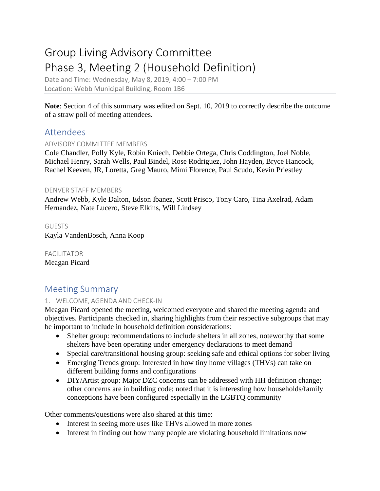# Group Living Advisory Committee Phase 3, Meeting 2 (Household Definition)

Date and Time: Wednesday, May 8, 2019, 4:00 – 7:00 PM Location: Webb Municipal Building, Room 1B6

**Note**: Section 4 of this summary was edited on Sept. 10, 2019 to correctly describe the outcome of a straw poll of meeting attendees.

### Attendees

#### ADVISORY COMMITTEE MEMBERS

Cole Chandler, Polly Kyle, Robin Kniech, Debbie Ortega, Chris Coddington, Joel Noble, Michael Henry, Sarah Wells, Paul Bindel, Rose Rodriguez, John Hayden, Bryce Hancock, Rachel Keeven, JR, Loretta, Greg Mauro, Mimi Florence, Paul Scudo, Kevin Priestley

#### DENVER STAFF MEMBERS

Andrew Webb, Kyle Dalton, Edson Ibanez, Scott Prisco, Tony Caro, Tina Axelrad, Adam Hernandez, Nate Lucero, Steve Elkins, Will Lindsey

GUESTS Kayla VandenBosch, Anna Koop

FACILITATOR Meagan Picard

## Meeting Summary

#### 1. WELCOME, AGENDA AND CHECK-IN

Meagan Picard opened the meeting, welcomed everyone and shared the meeting agenda and objectives. Participants checked in, sharing highlights from their respective subgroups that may be important to include in household definition considerations:

- Shelter group: recommendations to include shelters in all zones, noteworthy that some shelters have been operating under emergency declarations to meet demand
- Special care/transitional housing group: seeking safe and ethical options for sober living
- Emerging Trends group: Interested in how tiny home villages (THVs) can take on different building forms and configurations
- DIY/Artist group: Major DZC concerns can be addressed with HH definition change; other concerns are in building code; noted that it is interesting how households/family conceptions have been configured especially in the LGBTQ community

Other comments/questions were also shared at this time:

- Interest in seeing more uses like THVs allowed in more zones
- Interest in finding out how many people are violating household limitations now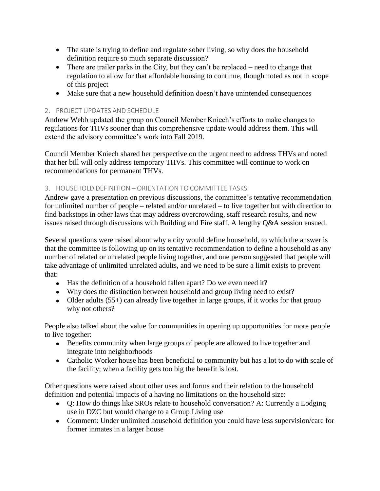- The state is trying to define and regulate sober living, so why does the household definition require so much separate discussion?
- There are trailer parks in the City, but they can't be replaced need to change that regulation to allow for that affordable housing to continue, though noted as not in scope of this project
- Make sure that a new household definition doesn't have unintended consequences

#### 2. PROJECT UPDATES AND SCHEDULE

Andrew Webb updated the group on Council Member Kniech's efforts to make changes to regulations for THVs sooner than this comprehensive update would address them. This will extend the advisory committee's work into Fall 2019.

Council Member Kniech shared her perspective on the urgent need to address THVs and noted that her bill will only address temporary THVs. This committee will continue to work on recommendations for permanent THVs.

#### 3. HOUSEHOLD DEFINITION – ORIENTATION TO COMMITTEE TASKS

Andrew gave a presentation on previous discussions, the committee's tentative recommendation for unlimited number of people – related and/or unrelated – to live together but with direction to find backstops in other laws that may address overcrowding, staff research results, and new issues raised through discussions with Building and Fire staff. A lengthy Q&A session ensued.

Several questions were raised about why a city would define household, to which the answer is that the committee is following up on its tentative recommendation to define a household as any number of related or unrelated people living together, and one person suggested that people will take advantage of unlimited unrelated adults, and we need to be sure a limit exists to prevent that:

- Has the definition of a household fallen apart? Do we even need it?
- Why does the distinction between household and group living need to exist?
- Older adults (55+) can already live together in large groups, if it works for that group why not others?

People also talked about the value for communities in opening up opportunities for more people to live together:

- Benefits community when large groups of people are allowed to live together and integrate into neighborhoods
- Catholic Worker house has been beneficial to community but has a lot to do with scale of the facility; when a facility gets too big the benefit is lost.

Other questions were raised about other uses and forms and their relation to the household definition and potential impacts of a having no limitations on the household size:

- Q: How do things like SROs relate to household conversation? A: Currently a Lodging use in DZC but would change to a Group Living use
- Comment: Under unlimited household definition you could have less supervision/care for former inmates in a larger house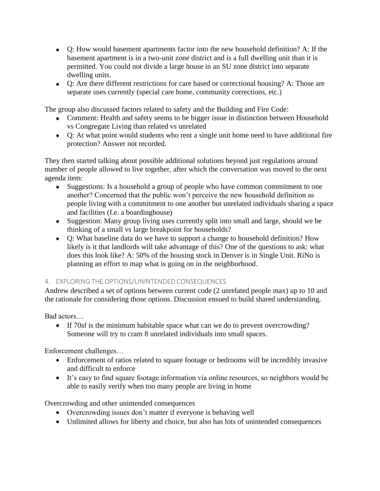- Q: How would basement apartments factor into the new household definition? A: If the basement apartment is in a two-unit zone district and is a full dwelling unit than it is permitted. You could not divide a large house in an SU zone district into separate dwelling units.
- Q: Are there different restrictions for care based or correctional housing? A: Those are separate uses currently (special care home, community corrections, etc.)

The group also discussed factors related to safety and the Building and Fire Code:

- Comment: Health and safety seems to be bigger issue in distinction between Household vs Congregate Living than related vs unrelated
- Q: At what point would students who rent a single unit home need to have additional fire protection? Answer not recorded.

They then started talking about possible additional solutions beyond just regulations around number of people allowed to live together, after which the conversation was moved to the next agenda item:

- Suggestions: Is a household a group of people who have common commitment to one another? Concerned that the public won't perceive the new household definition as people living with a commitment to one another but unrelated individuals sharing a space and facilities (I.e. a boardinghouse)
- Suggestion: Many group living uses currently split into small and large, should we be thinking of a small vs large breakpoint for households?
- Q: What baseline data do we have to support a change to household definition? How likely is it that landlords will take advantage of this? One of the questions to ask: what does this look like? A: 50% of the housing stock in Denver is in Single Unit. RiNo is planning an effort to map what is going on in the neighborhood.

#### 4. EXPLORING THE OPTIONS/UNINTENDED CONSEQUENCES

Andrew described a set of options between current code (2 unrelated people max) up to 10 and the rationale for considering those options. Discussion ensued to build shared understanding.

Bad actors…

• If 70sf is the minimum habitable space what can we do to prevent overcrowding? Someone will try to cram 8 unrelated individuals into small spaces.

Enforcement challenges…

- Enforcement of ratios related to square footage or bedrooms will be incredibly invasive and difficult to enforce
- It's easy to find square footage information via online resources, so neighbors would be able to easily verify when too many people are living in home

Overcrowding and other unintended consequences

- Overcrowding issues don't matter if everyone is behaving well
- Unlimited allows for liberty and choice, but also has lots of unintended consequences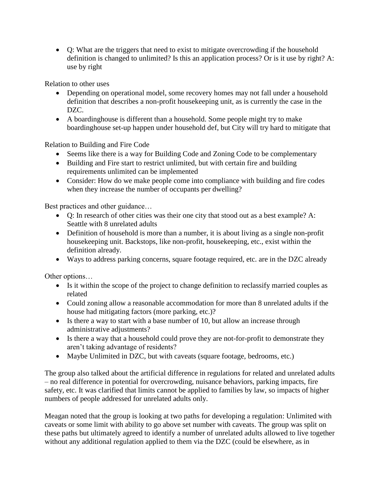• Q: What are the triggers that need to exist to mitigate overcrowding if the household definition is changed to unlimited? Is this an application process? Or is it use by right? A: use by right

Relation to other uses

- Depending on operational model, some recovery homes may not fall under a household definition that describes a non-profit housekeeping unit, as is currently the case in the DZC.
- A boardinghouse is different than a household. Some people might try to make boardinghouse set-up happen under household def, but City will try hard to mitigate that

Relation to Building and Fire Code

- Seems like there is a way for Building Code and Zoning Code to be complementary
- Building and Fire start to restrict unlimited, but with certain fire and building requirements unlimited can be implemented
- Consider: How do we make people come into compliance with building and fire codes when they increase the number of occupants per dwelling?

Best practices and other guidance…

- Q: In research of other cities was their one city that stood out as a best example? A: Seattle with 8 unrelated adults
- Definition of household is more than a number, it is about living as a single non-profit housekeeping unit. Backstops, like non-profit, housekeeping, etc., exist within the definition already.
- Ways to address parking concerns, square footage required, etc. are in the DZC already

Other options…

- Is it within the scope of the project to change definition to reclassify married couples as related
- Could zoning allow a reasonable accommodation for more than 8 unrelated adults if the house had mitigating factors (more parking, etc.)?
- Is there a way to start with a base number of 10, but allow an increase through administrative adjustments?
- Is there a way that a household could prove they are not-for-profit to demonstrate they aren't taking advantage of residents?
- Maybe Unlimited in DZC, but with caveats (square footage, bedrooms, etc.)

The group also talked about the artificial difference in regulations for related and unrelated adults – no real difference in potential for overcrowding, nuisance behaviors, parking impacts, fire safety, etc. It was clarified that limits cannot be applied to families by law, so impacts of higher numbers of people addressed for unrelated adults only.

Meagan noted that the group is looking at two paths for developing a regulation: Unlimited with caveats or some limit with ability to go above set number with caveats. The group was split on these paths but ultimately agreed to identify a number of unrelated adults allowed to live together without any additional regulation applied to them via the DZC (could be elsewhere, as in